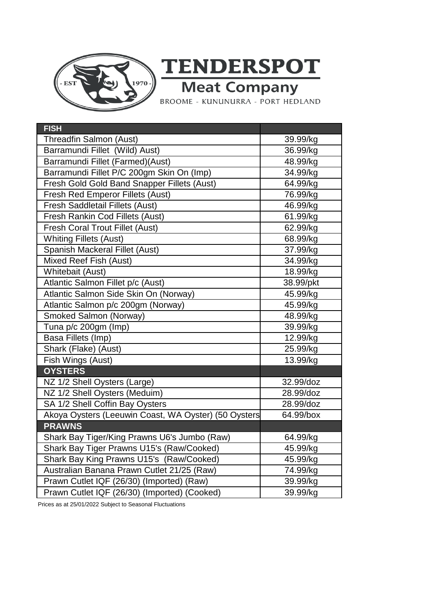

**TENDERSPOT**<br>Meat Company<br>BROOME - KUNUNURRA - PORT HEDLAND

| <b>FISH</b>                                          |           |
|------------------------------------------------------|-----------|
| Threadfin Salmon (Aust)                              | 39.99/kg  |
| Barramundi Fillet (Wild) Aust)                       | 36.99/kg  |
| Barramundi Fillet (Farmed)(Aust)                     | 48.99/kg  |
| Barramundi Fillet P/C 200gm Skin On (Imp)            | 34.99/kg  |
| Fresh Gold Gold Band Snapper Fillets (Aust)          | 64.99/kg  |
| <b>Fresh Red Emperor Fillets (Aust)</b>              | 76.99/kg  |
| <b>Fresh Saddletail Fillets (Aust)</b>               | 46.99/kg  |
| Fresh Rankin Cod Fillets (Aust)                      | 61.99/kg  |
| <b>Fresh Coral Trout Fillet (Aust)</b>               | 62.99/kg  |
| <b>Whiting Fillets (Aust)</b>                        | 68.99/kg  |
| Spanish Mackeral Fillet (Aust)                       | 37.99/kg  |
| Mixed Reef Fish (Aust)                               | 34.99/kg  |
| Whitebait (Aust)                                     | 18.99/kg  |
| Atlantic Salmon Fillet p/c (Aust)                    | 38.99/pkt |
| Atlantic Salmon Side Skin On (Norway)                | 45.99/kg  |
| Atlantic Salmon p/c 200gm (Norway)                   | 45.99/kg  |
| Smoked Salmon (Norway)                               | 48.99/kg  |
| Tuna p/c 200gm (Imp)                                 | 39.99/kg  |
| Basa Fillets (Imp)                                   | 12.99/kg  |
| Shark (Flake) (Aust)                                 | 25.99/kg  |
| Fish Wings (Aust)                                    | 13.99/kg  |
| <b>OYSTERS</b>                                       |           |
| NZ 1/2 Shell Oysters (Large)                         | 32.99/doz |
| NZ 1/2 Shell Oysters (Meduim)                        | 28.99/doz |
| SA 1/2 Shell Coffin Bay Oysters                      | 28.99/doz |
| Akoya Oysters (Leeuwin Coast, WA Oyster) (50 Oysters | 64.99/box |
| <b>PRAWNS</b>                                        |           |
| Shark Bay Tiger/King Prawns U6's Jumbo (Raw)         | 64.99/kg  |
| Shark Bay Tiger Prawns U15's (Raw/Cooked)            | 45.99/kg  |
| Shark Bay King Prawns U15's (Raw/Cooked)             | 45.99/kg  |
| Australian Banana Prawn Cutlet 21/25 (Raw)           | 74.99/kg  |
| Prawn Cutlet IQF (26/30) (Imported) (Raw)            | 39.99/kg  |
| Prawn Cutlet IQF (26/30) (Imported) (Cooked)         | 39.99/kg  |

Prices as at 25/01/2022 Subject to Seasonal Fluctuations